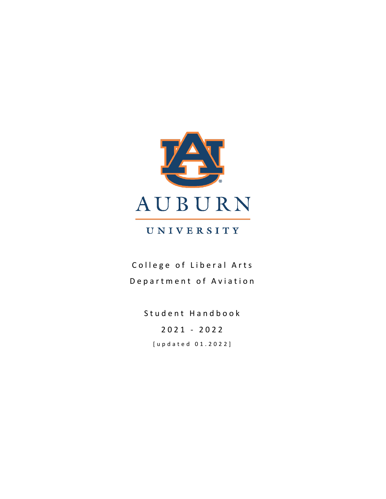

# UNIVERSITY

College of Liberal Arts Department of Aviation

> Student Handbook 202 1 - 202 2 [updated 01. 2022 ]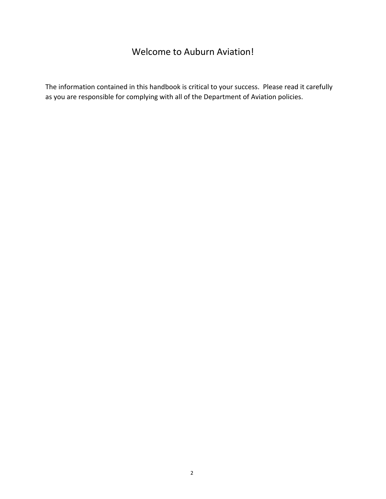# Welcome to Auburn Aviation!

The information contained in this handbook is critical to your success. Please read it carefully as you are responsible for complying with all of the Department of Aviation policies.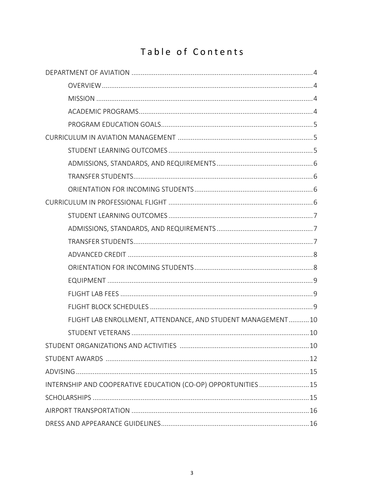# Table of Contents

| FLIGHT LAB ENROLLMENT, ATTENDANCE, AND STUDENT MANAGEMENT10    |
|----------------------------------------------------------------|
|                                                                |
|                                                                |
|                                                                |
|                                                                |
| INTERNSHIP AND COOPERATIVE EDUCATION (CO-OP) OPPORTUNITIES  15 |
|                                                                |
|                                                                |
|                                                                |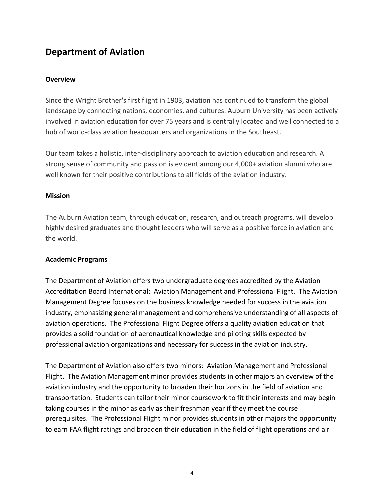# **Department of Aviation**

#### **Overview**

Since the Wright Brother's first flight in 1903, aviation has continued to transform the global landscape by connecting nations, economies, and cultures. Auburn University has been actively involved in aviation education for over 75 years and is centrally located and well connected to a hub of world-class aviation headquarters and organizations in the Southeast.

Our team takes a holistic, inter-disciplinary approach to aviation education and research. A strong sense of community and passion is evident among our 4,000+ aviation alumni who are well known for their positive contributions to all fields of the aviation industry.

#### **Mission**

The Auburn Aviation team, through education, research, and outreach programs, will develop highly desired graduates and thought leaders who will serve as a positive force in aviation and the world.

# **Academic Programs**

The Department of Aviation offers two undergraduate degrees accredited by the Aviation Accreditation Board International: Aviation Management and Professional Flight. The Aviation Management Degree focuses on the business knowledge needed for success in the aviation industry, emphasizing general management and comprehensive understanding of all aspects of aviation operations. The Professional Flight Degree offers a quality aviation education that provides a solid foundation of aeronautical knowledge and piloting skills expected by professional aviation organizations and necessary for success in the aviation industry.

The Department of Aviation also offers two minors: Aviation Management and Professional Flight. The Aviation Management minor provides students in other majors an overview of the aviation industry and the opportunity to broaden their horizons in the field of aviation and transportation. Students can tailor their minor coursework to fit their interests and may begin taking courses in the minor as early as their freshman year if they meet the course prerequisites. The Professional Flight minor provides students in other majors the opportunity to earn FAA flight ratings and broaden their education in the field of flight operations and air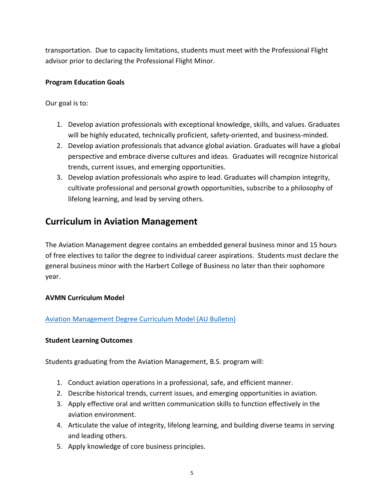transportation. Due to capacity limitations, students must meet with the Professional Flight advisor prior to declaring the Professional Flight Minor.

# **Program Education Goals**

Our goal is to:

- 1. Develop aviation professionals with exceptional knowledge, skills, and values. Graduates will be highly educated, technically proficient, safety-oriented, and business-minded.
- 2. Develop aviation professionals that advance global aviation. Graduates will have a global perspective and embrace diverse cultures and ideas. Graduates will recognize historical trends, current issues, and emerging opportunities.
- 3. Develop aviation professionals who aspire to lead. Graduates will champion integrity, cultivate professional and personal growth opportunities, subscribe to a philosophy of lifelong learning, and lead by serving others.

# **Curriculum in Aviation Management**

The Aviation Management degree contains an embedded general business minor and 15 hours of free electives to tailor the degree to individual career aspirations. Students must declare the general business minor with the Harbert College of Business no later than their sophomore year.

# **AVMN Curriculum Model**

# Aviation Management Degree Curriculum Model (AU Bulletin)

# **Student Learning Outcomes**

Students graduating from the Aviation Management, B.S. program will:

- 1. Conduct aviation operations in a professional, safe, and efficient manner.
- 2. Describe historical trends, current issues, and emerging opportunities in aviation.
- 3. Apply effective oral and written communication skills to function effectively in the aviation environment.
- 4. Articulate the value of integrity, lifelong learning, and building diverse teams in serving and leading others.
- 5. Apply knowledge of core business principles.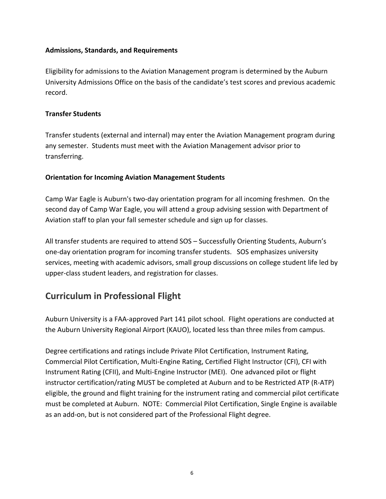#### **Admissions, Standards, and Requirements**

Eligibility for admissions to the Aviation Management program is determined by the Auburn University Admissions Office on the basis of the candidate's test scores and previous academic record.

### **Transfer Students**

Transfer students (external and internal) may enter the Aviation Management program during any semester. Students must meet with the Aviation Management advisor prior to transferring.

#### **Orientation for Incoming Aviation Management Students**

Camp War Eagle is Auburn's two-day orientation program for all incoming freshmen. On the second day of Camp War Eagle, you will attend a group advising session with Department of Aviation staff to plan your fall semester schedule and sign up for classes.

All transfer students are required to attend SOS – Successfully Orienting Students, Auburn's one-day orientation program for incoming transfer students. SOS emphasizes university services, meeting with academic advisors, small group discussions on college student life led by upper-class student leaders, and registration for classes.

# **Curriculum in Professional Flight**

Auburn University is a FAA-approved Part 141 pilot school. Flight operations are conducted at the Auburn University Regional Airport (KAUO), located less than three miles from campus.

Degree certifications and ratings include Private Pilot Certification, Instrument Rating, Commercial Pilot Certification, Multi-Engine Rating, Certified Flight Instructor (CFI), CFI with Instrument Rating (CFII), and Multi-Engine Instructor (MEI). One advanced pilot or flight instructor certification/rating MUST be completed at Auburn and to be Restricted ATP (R-ATP) eligible, the ground and flight training for the instrument rating and commercial pilot certificate must be completed at Auburn. NOTE: Commercial Pilot Certification, Single Engine is available as an add-on, but is not considered part of the Professional Flight degree.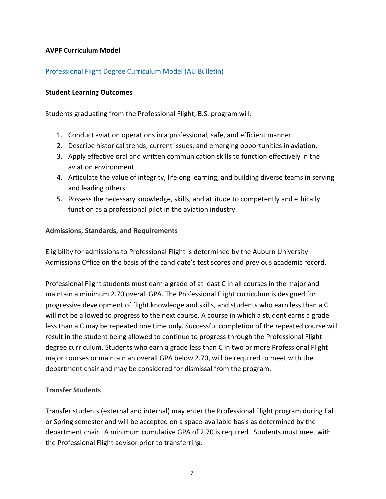#### **AVPF Curriculum Model**

# Professional Flight Degree Curriculum Model (AU Bulletin)

#### **Student Learning Outcomes**

Students graduating from the Professional Flight, B.S. program will:

- 1. Conduct aviation operations in a professional, safe, and efficient manner.
- 2. Describe historical trends, current issues, and emerging opportunities in aviation.
- 3. Apply effective oral and written communication skills to function effectively in the aviation environment.
- 4. Articulate the value of integrity, lifelong learning, and building diverse teams in serving and leading others.
- 5. Possess the necessary knowledge, skills, and attitude to competently and ethically function as a professional pilot in the aviation industry.

#### **Admissions, Standards, and Requirements**

Eligibility for admissions to Professional Flight is determined by the Auburn University Admissions Office on the basis of the candidate's test scores and previous academic record.

Professional Flight students must earn a grade of at least C in all courses in the major and maintain a minimum 2.70 overall GPA. The Professional Flight curriculum is designed for progressive development of flight knowledge and skills, and students who earn less than a C will not be allowed to progress to the next course. A course in which a student earns a grade less than a C may be repeated one time only. Successful completion of the repeated course will result in the student being allowed to continue to progress through the Professional Flight degree curriculum. Students who earn a grade less than C in two or more Professional Flight major courses or maintain an overall GPA below 2.70, will be required to meet with the department chair and may be considered for dismissal from the program.

# **Transfer Students**

Transfer students (external and internal) may enter the Professional Flight program during Fall or Spring semester and will be accepted on a space-available basis as determined by the department chair. A minimum cumulative GPA of 2.70 is required. Students must meet with the Professional Flight advisor prior to transferring.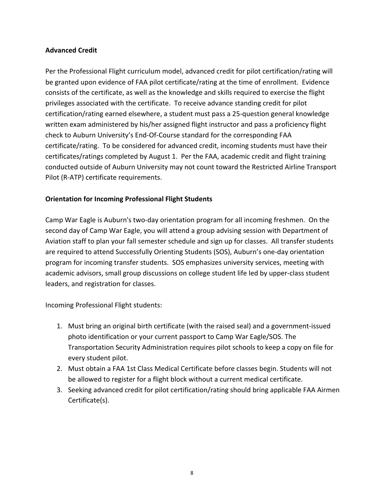# **Advanced Credit**

Per the Professional Flight curriculum model, advanced credit for pilot certification/rating will be granted upon evidence of FAA pilot certificate/rating at the time of enrollment. Evidence consists of the certificate, as well as the knowledge and skills required to exercise the flight privileges associated with the certificate. To receive advance standing credit for pilot certification/rating earned elsewhere, a student must pass a 25-question general knowledge written exam administered by his/her assigned flight instructor and pass a proficiency flight check to Auburn University's End-Of-Course standard for the corresponding FAA certificate/rating. To be considered for advanced credit, incoming students must have their certificates/ratings completed by August 1. Per the FAA, academic credit and flight training conducted outside of Auburn University may not count toward the Restricted Airline Transport Pilot (R-ATP) certificate requirements.

# **Orientation for Incoming Professional Flight Students**

Camp War Eagle is Auburn's two-day orientation program for all incoming freshmen. On the second day of Camp War Eagle, you will attend a group advising session with Department of Aviation staff to plan your fall semester schedule and sign up for classes. All transfer students are required to attend Successfully Orienting Students (SOS), Auburn's one-day orientation program for incoming transfer students. SOS emphasizes university services, meeting with academic advisors, small group discussions on college student life led by upper-class student leaders, and registration for classes.

Incoming Professional Flight students:

- 1. Must bring an original birth certificate (with the raised seal) and a government-issued photo identification or your current passport to Camp War Eagle/SOS. The Transportation Security Administration requires pilot schools to keep a copy on file for every student pilot.
- 2. Must obtain a FAA 1st Class Medical Certificate before classes begin. Students will not be allowed to register for a flight block without a current medical certificate.
- 3. Seeking advanced credit for pilot certification/rating should bring applicable FAA Airmen Certificate(s).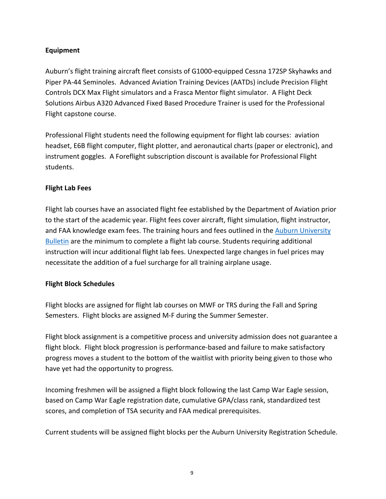# **Equipment**

Auburn's flight training aircraft fleet consists of G1000-equipped Cessna 172SP Skyhawks and Piper PA-44 Seminoles. Advanced Aviation Training Devices (AATDs) include Precision Flight Controls DCX Max Flight simulators and a Frasca Mentor flight simulator. A Flight Deck Solutions Airbus A320 Advanced Fixed Based Procedure Trainer is used for the Professional Flight capstone course.

Professional Flight students need the following equipment for flight lab courses: aviation headset, E6B flight computer, flight plotter, and aeronautical charts (paper or electronic), and instrument goggles. A Foreflight subscription discount is available for Professional Flight students.

# **Flight Lab Fees**

Flight lab courses have an associated flight fee established by the Department of Aviation prior to the start of the academic year. Flight fees cover aircraft, flight simulation, flight instructor, and FAA knowledge exam fees. The training hours and fees outlined in the Auburn University Bulletin are the minimum to complete a flight lab course. Students requiring additional instruction will incur additional flight lab fees. Unexpected large changes in fuel prices may necessitate the addition of a fuel surcharge for all training airplane usage.

# **Flight Block Schedules**

Flight blocks are assigned for flight lab courses on MWF or TRS during the Fall and Spring Semesters. Flight blocks are assigned M-F during the Summer Semester.

Flight block assignment is a competitive process and university admission does not guarantee a flight block. Flight block progression is performance-based and failure to make satisfactory progress moves a student to the bottom of the waitlist with priority being given to those who have yet had the opportunity to progress.

Incoming freshmen will be assigned a flight block following the last Camp War Eagle session, based on Camp War Eagle registration date, cumulative GPA/class rank, standardized test scores, and completion of TSA security and FAA medical prerequisites.

Current students will be assigned flight blocks per the Auburn University Registration Schedule.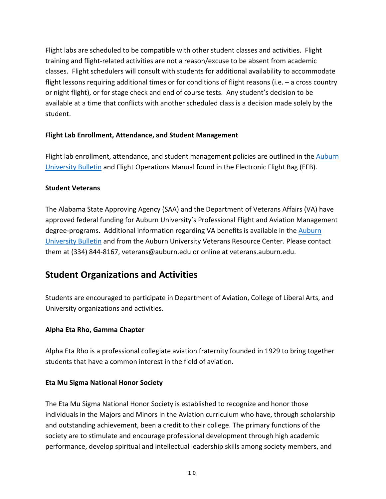Flight labs are scheduled to be compatible with other student classes and activities. Flight training and flight-related activities are not a reason/excuse to be absent from academic classes. Flight schedulers will consult with students for additional availability to accommodate flight lessons requiring additional times or for conditions of flight reasons (i.e. – a cross country or night flight), or for stage check and end of course tests. Any student's decision to be available at a time that conflicts with another scheduled class is a decision made solely by the student.

# **Flight Lab Enrollment, Attendance, and Student Management**

Flight lab enrollment, attendance, and student management policies are outlined in the Auburn University Bulletin and Flight Operations Manual found in the Electronic Flight Bag (EFB).

# **Student Veterans**

The Alabama State Approving Agency (SAA) and the Department of Veterans Affairs (VA) have approved federal funding for Auburn University's Professional Flight and Aviation Management degree-programs. Additional information regarding VA benefits is available in the Auburn University Bulletin and from the Auburn University Veterans Resource Center. Please contact them at (334) 844-8167, veterans@auburn.edu or online at veterans.auburn.edu.

# **Student Organizations and Activities**

Students are encouraged to participate in Department of Aviation, College of Liberal Arts, and University organizations and activities.

# **Alpha Eta Rho, Gamma Chapter**

Alpha Eta Rho is a professional collegiate aviation fraternity founded in 1929 to bring together students that have a common interest in the field of aviation.

# **Eta Mu Sigma National Honor Society**

The Eta Mu Sigma National Honor Society is established to recognize and honor those individuals in the Majors and Minors in the Aviation curriculum who have, through scholarship and outstanding achievement, been a credit to their college. The primary functions of the society are to stimulate and encourage professional development through high academic performance, develop spiritual and intellectual leadership skills among society members, and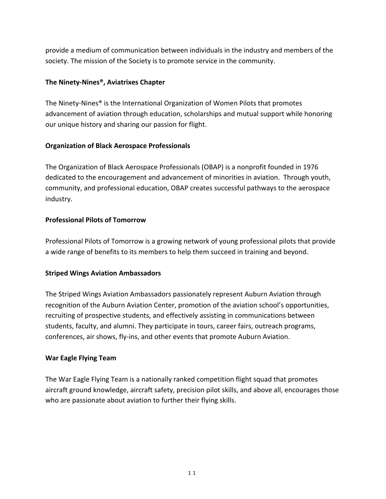provide a medium of communication between individuals in the industry and members of the society. The mission of the Society is to promote service in the community.

#### **The Ninety-Nines®, Aviatrixes Chapter**

The Ninety-Nines® is the International Organization of Women Pilots that promotes advancement of aviation through education, scholarships and mutual support while honoring our unique history and sharing our passion for flight.

#### **Organization of Black Aerospace Professionals**

The Organization of Black Aerospace Professionals (OBAP) is a nonprofit founded in 1976 dedicated to the encouragement and advancement of minorities in aviation. Through youth, community, and professional education, OBAP creates successful pathways to the aerospace industry.

#### **Professional Pilots of Tomorrow**

Professional Pilots of Tomorrow is a growing network of young professional pilots that provide a wide range of benefits to its members to help them succeed in training and beyond.

#### **Striped Wings Aviation Ambassadors**

The Striped Wings Aviation Ambassadors passionately represent Auburn Aviation through recognition of the Auburn Aviation Center, promotion of the aviation school's opportunities, recruiting of prospective students, and effectively assisting in communications between students, faculty, and alumni. They participate in tours, career fairs, outreach programs, conferences, air shows, fly-ins, and other events that promote Auburn Aviation.

#### **War Eagle Flying Team**

The War Eagle Flying Team is a nationally ranked competition flight squad that promotes aircraft ground knowledge, aircraft safety, precision pilot skills, and above all, encourages those who are passionate about aviation to further their flying skills.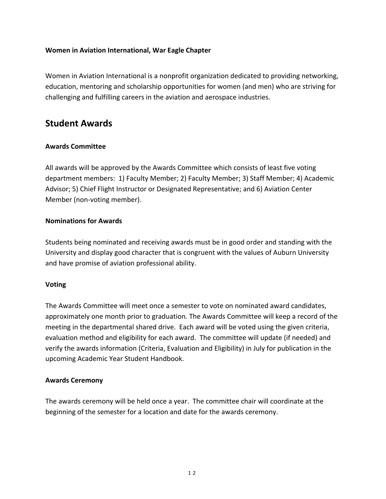#### **Women in Aviation International, War Eagle Chapter**

Women in Aviation International is a nonprofit organization dedicated to providing networking, education, mentoring and scholarship opportunities for women (and men) who are striving for challenging and fulfilling careers in the aviation and aerospace industries.

# **Student Awards**

# **Awards Committee**

All awards will be approved by the Awards Committee which consists of least five voting department members: 1) Faculty Member; 2) Faculty Member; 3) Staff Member; 4) Academic Advisor; 5) Chief Flight Instructor or Designated Representative; and 6) Aviation Center Member (non-voting member).

#### **Nominations for Awards**

Students being nominated and receiving awards must be in good order and standing with the University and display good character that is congruent with the values of Auburn University and have promise of aviation professional ability.

# **Voting**

The Awards Committee will meet once a semester to vote on nominated award candidates, approximately one month prior to graduation. The Awards Committee will keep a record of the meeting in the departmental shared drive. Each award will be voted using the given criteria, evaluation method and eligibility for each award. The committee will update (if needed) and verify the awards information (Criteria, Evaluation and Eligibility) in July for publication in the upcoming Academic Year Student Handbook.

#### **Awards Ceremony**

The awards ceremony will be held once a year. The committee chair will coordinate at the beginning of the semester for a location and date for the awards ceremony.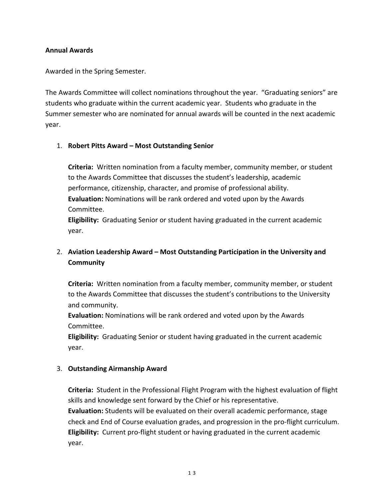#### **Annual Awards**

Awarded in the Spring Semester.

The Awards Committee will collect nominations throughout the year. "Graduating seniors" are students who graduate within the current academic year. Students who graduate in the Summer semester who are nominated for annual awards will be counted in the next academic year.

#### 1. **Robert Pitts Award – Most Outstanding Senior**

**Criteria:** Written nomination from a faculty member, community member, or student to the Awards Committee that discusses the student's leadership, academic performance, citizenship, character, and promise of professional ability. **Evaluation:** Nominations will be rank ordered and voted upon by the Awards Committee.

**Eligibility:** Graduating Senior or student having graduated in the current academic year.

# 2. **Aviation Leadership Award – Most Outstanding Participation in the University and Community**

**Criteria:** Written nomination from a faculty member, community member, or student to the Awards Committee that discusses the student's contributions to the University and community.

**Evaluation:** Nominations will be rank ordered and voted upon by the Awards Committee.

**Eligibility:** Graduating Senior or student having graduated in the current academic year.

# 3. **Outstanding Airmanship Award**

**Criteria:** Student in the Professional Flight Program with the highest evaluation of flight skills and knowledge sent forward by the Chief or his representative. **Evaluation:** Students will be evaluated on their overall academic performance, stage check and End of Course evaluation grades, and progression in the pro-flight curriculum. **Eligibility:** Current pro-flight student or having graduated in the current academic year.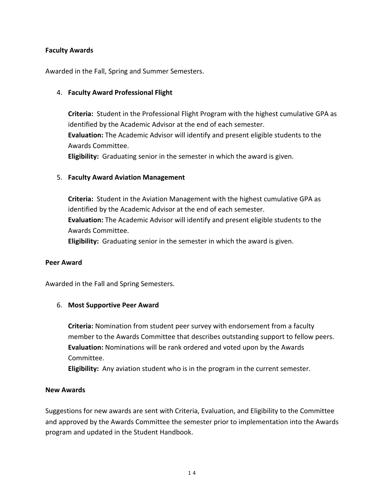#### **Faculty Awards**

Awarded in the Fall, Spring and Summer Semesters.

#### 4. **Faculty Award Professional Flight**

**Criteria:** Student in the Professional Flight Program with the highest cumulative GPA as identified by the Academic Advisor at the end of each semester. **Evaluation:** The Academic Advisor will identify and present eligible students to the Awards Committee. **Eligibility:** Graduating senior in the semester in which the award is given.

#### 5. **Faculty Award Aviation Management**

**Criteria:** Student in the Aviation Management with the highest cumulative GPA as identified by the Academic Advisor at the end of each semester. **Evaluation:** The Academic Advisor will identify and present eligible students to the Awards Committee.

**Eligibility:** Graduating senior in the semester in which the award is given.

#### **Peer Award**

Awarded in the Fall and Spring Semesters.

#### 6. **Most Supportive Peer Award**

**Criteria:** Nomination from student peer survey with endorsement from a faculty member to the Awards Committee that describes outstanding support to fellow peers. **Evaluation:** Nominations will be rank ordered and voted upon by the Awards Committee.

**Eligibility:** Any aviation student who is in the program in the current semester.

#### **New Awards**

Suggestions for new awards are sent with Criteria, Evaluation, and Eligibility to the Committee and approved by the Awards Committee the semester prior to implementation into the Awards program and updated in the Student Handbook.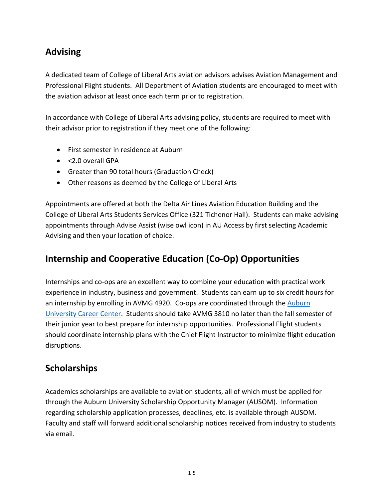# **Advising**

A dedicated team of College of Liberal Arts aviation advisors advises Aviation Management and Professional Flight students. All Department of Aviation students are encouraged to meet with the aviation advisor at least once each term prior to registration.

In accordance with College of Liberal Arts advising policy, students are required to meet with their advisor prior to registration if they meet one of the following:

- First semester in residence at Auburn
- <2.0 overall GPA
- Greater than 90 total hours (Graduation Check)
- Other reasons as deemed by the College of Liberal Arts

Appointments are offered at both the Delta Air Lines Aviation Education Building and the College of Liberal Arts Students Services Office (321 Tichenor Hall). Students can make advising appointments through Advise Assist (wise owl icon) in AU Access by first selecting Academic Advising and then your location of choice.

# **Internship and Cooperative Education (Co-Op) Opportunities**

Internships and co-ops are an excellent way to combine your education with practical work experience in industry, business and government. Students can earn up to six credit hours for an internship by enrolling in AVMG 4920. Co-ops are coordinated through the Auburn University Career Center. Students should take AVMG 3810 no later than the fall semester of their junior year to best prepare for internship opportunities. Professional Flight students should coordinate internship plans with the Chief Flight Instructor to minimize flight education disruptions.

# **Scholarships**

Academics scholarships are available to aviation students, all of which must be applied for through the Auburn University Scholarship Opportunity Manager (AUSOM). Information regarding scholarship application processes, deadlines, etc. is available through AUSOM. Faculty and staff will forward additional scholarship notices received from industry to students via email.